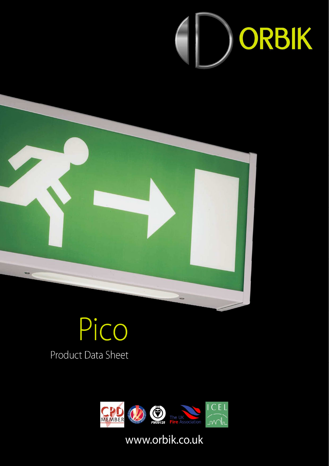



# Pico Product Data Sheet



# www.orbik.co.uk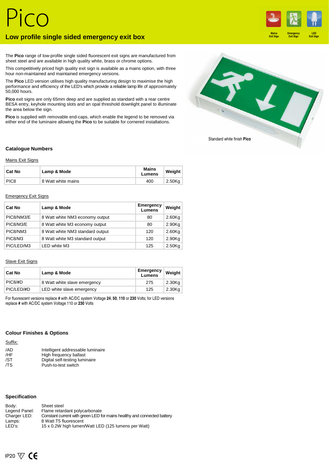### **Low profile single sided emergency exit box**



The **Pico** range of low-profile single sided fluorescent exit signs are manufactured from sheet steel and are available in high quality white, brass or chrome options.

This competitively priced high quality exit sign is available as a mains option, with three hour non-maintained and maintained emergency versions.

The **Pico** LED version utilises high quality manufacturing design to maximise the high performance and efficiency of the LED's which provide a reliable lamp life of approximately 50,000 hours.

**Pico** exit signs are only 65mm deep and are supplied as standard with a rear centre BESA entry, keyhole mounting slots and an opal threshold downlight panel to illuminate the area below the sign.

**Pico** is supplied with removable end-caps, which enable the legend to be removed via either end of the luminaire allowing the **Pico** to be suitable for cornered installations.



#### **Catalogue Numbers**

#### Mains Exit Signs

| <b>Cat No</b>    | Lamp & Mode        | Mains<br>Lumens | Weight |
|------------------|--------------------|-----------------|--------|
| PIC <sub>8</sub> | 8 Watt white mains | 400             | 2.50Kg |

#### Emergency Exit Signs

| Cat No     | Lamp & Mode                      | Emergency<br>Lumens | Weight    |
|------------|----------------------------------|---------------------|-----------|
| PIC8/NM3/E | 8 Watt white NM3 economy output  | 80                  | $2.60$ Kg |
| PIC8/M3/E  | 8 Watt white M3 economy output   | 80                  | 2.90Kg    |
| PIC8/NM3   | 8 Watt white NM3 standard output | 120                 | $2.60$ Kg |
| PIC8/M3    | 8 Watt white M3 standard output  | 120                 | $2.90$ Kg |
| PIC/LED/M3 | LED white M3                     | 125                 | $2.50$ Kg |

#### **Slave Exit Signs**

| <b>Cat No</b> | Lamp & Mode                  | , Emergency<br>Lumens | Weight    |
|---------------|------------------------------|-----------------------|-----------|
| PIC8/#D       | 8 Watt white slave emergency | 275                   | $2.30$ Kg |
| PIC/LED/#D    | LED white slave emergency    | 125                   | 2.30Kg    |

For fluorescent versions replace **#** with AC/DC system Voltage **24**, **50**, **110** or **230** Volts; for LED versions replace **#** with AC/DC system Voltage 110 or **230** Volts

#### **Colour Finishes & Options**

Suffix:

| /AD | Intelligent addressable luminaire |
|-----|-----------------------------------|
| /HF | High frequency ballast            |
| /ST | Digital self-testing luminaire    |
| /TS | Push-to-test switch               |

#### **Specification**

| Body:         | Sheet steel                                                             |
|---------------|-------------------------------------------------------------------------|
| Legend Panel: | Flame retardant polycarbonate                                           |
| Charger LED:  | Constant current with green LED for mains healthy and connected battery |
| Lamps:        | 8 Watt T5 fluorescent                                                   |
| LED's:        | 15 x 0.2W high lumen/Watt LED (125 lumens per Watt)                     |
|               |                                                                         |